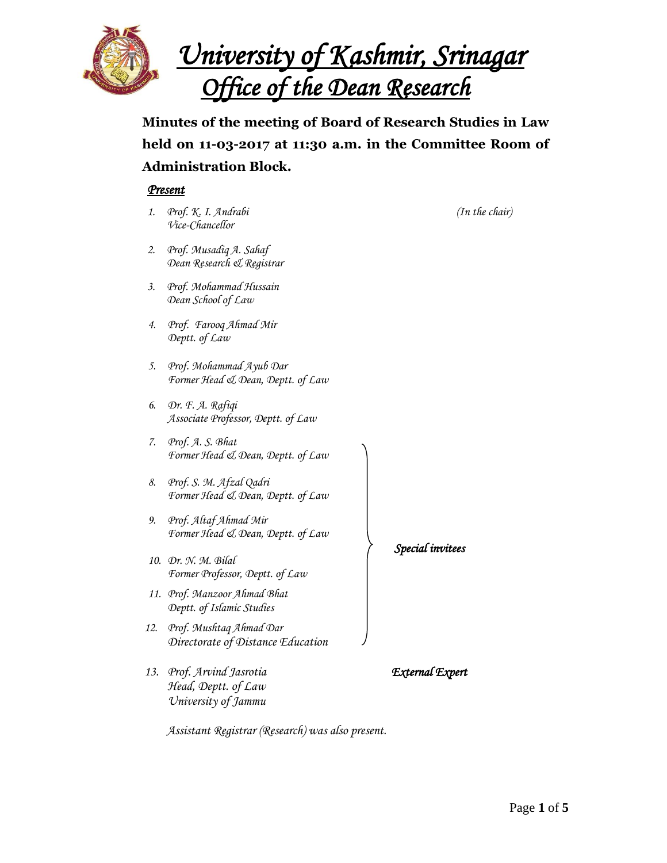

*University of Kashmir, Srinagar Office of the Dean Research* 

**Minutes of the meeting of Board of Research Studies in Law held on 11-03-2017 at 11:30 a.m. in the Committee Room of Administration Block.**

# *Present*

- *1. Prof. K. I. Andrabi (In the chair) Vice-Chancellor*
- *2. Prof. Musadiq A. Sahaf Dean Research & Registrar*
- *3. Prof. Mohammad Hussain Dean School of Law*
- *4. Prof. Farooq Ahmad Mir Deptt. of Law*
- *5. Prof. Mohammad Ayub Dar Former Head & Dean, Deptt. of Law*
- *6. Dr. F. A. Rafiqi Associate Professor, Deptt. of Law*
- *7. Prof. A. S. Bhat Former Head & Dean, Deptt. of Law*
- *8. Prof. S. M. Afzal Qadri Former Head & Dean, Deptt. of Law*
- *9. Prof. Altaf Ahmad Mir Former Head & Dean, Deptt. of Law*
- *10. Dr. N. M. Bilal Former Professor, Deptt. of Law*
- *11. Prof. Manzoor Ahmad Bhat Deptt. of Islamic Studies*
- *12. Prof. Mushtaq Ahmad Dar Directorate of Distance Education*
- *13. Prof. Arvind Jasrotia External Expert Head, Deptt. of Law University of Jammu*

*Special invitees* 

*Assistant Registrar (Research) was also present.*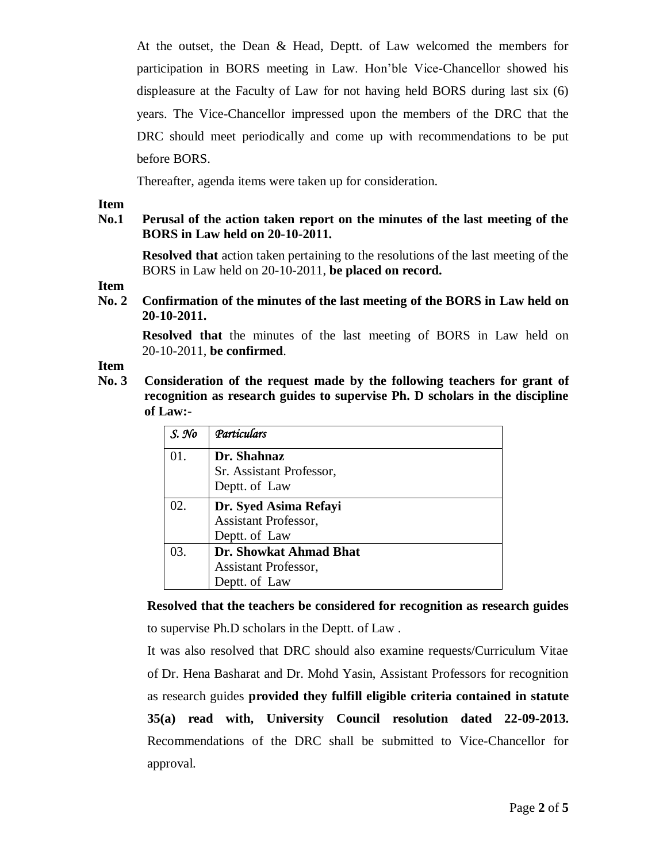At the outset, the Dean & Head, Deptt. of Law welcomed the members for participation in BORS meeting in Law. Hon'ble Vice-Chancellor showed his displeasure at the Faculty of Law for not having held BORS during last six (6) years. The Vice-Chancellor impressed upon the members of the DRC that the DRC should meet periodically and come up with recommendations to be put before BORS.

Thereafter, agenda items were taken up for consideration.

### **Item**

# **No.1 Perusal of the action taken report on the minutes of the last meeting of the BORS in Law held on 20-10-2011.**

**Resolved that** action taken pertaining to the resolutions of the last meeting of the BORS in Law held on 20-10-2011, **be placed on record.**

# **Item**

**No. 2 Confirmation of the minutes of the last meeting of the BORS in Law held on 20-10-2011.** 

**Resolved that** the minutes of the last meeting of BORS in Law held on 20-10-2011, **be confirmed**.

### **Item**

**No. 3 Consideration of the request made by the following teachers for grant of recognition as research guides to supervise Ph. D scholars in the discipline of Law:-**

| $S.$ No | Particulars                 |  |  |  |
|---------|-----------------------------|--|--|--|
| 01.     | Dr. Shahnaz                 |  |  |  |
|         | Sr. Assistant Professor,    |  |  |  |
|         | Deptt. of Law               |  |  |  |
| 02.     | Dr. Syed Asima Refayi       |  |  |  |
|         | Assistant Professor,        |  |  |  |
|         | Deptt. of Law               |  |  |  |
| 03.     | Dr. Showkat Ahmad Bhat      |  |  |  |
|         | <b>Assistant Professor,</b> |  |  |  |
|         | Deptt. of Law               |  |  |  |

**Resolved that the teachers be considered for recognition as research guides** to supervise Ph.D scholars in the Deptt. of Law .

It was also resolved that DRC should also examine requests/Curriculum Vitae of Dr. Hena Basharat and Dr. Mohd Yasin, Assistant Professors for recognition as research guides **provided they fulfill eligible criteria contained in statute 35(a) read with, University Council resolution dated 22-09-2013.** Recommendations of the DRC shall be submitted to Vice-Chancellor for approval.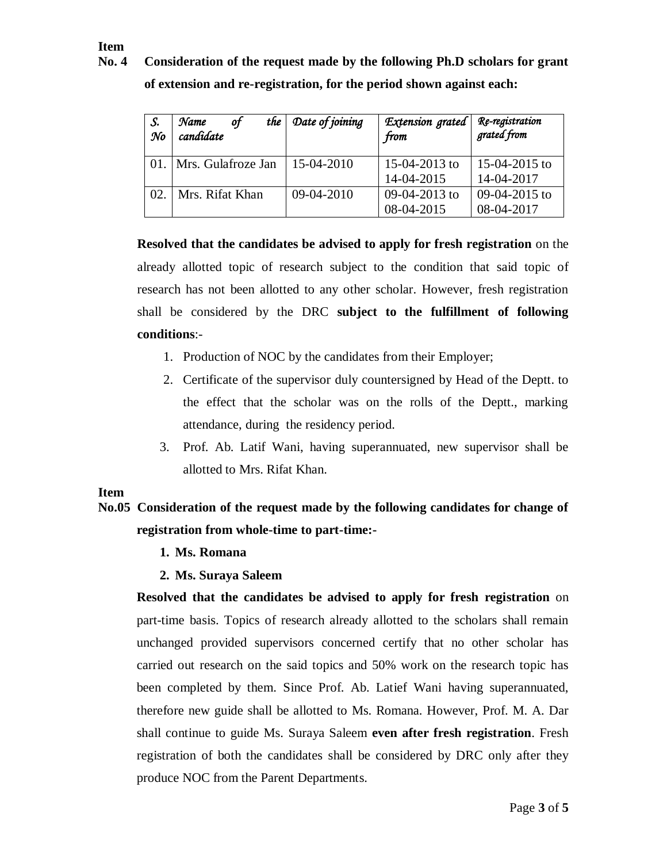# **Item**

**No. 4 Consideration of the request made by the following Ph.D scholars for grant of extension and re-registration, for the period shown against each:**

| S.<br>$\mathcal{N}$ o | of<br>the<br>Name<br>candidate | Date of joining | Extension grated<br>from | Re-registration<br>grated from |
|-----------------------|--------------------------------|-----------------|--------------------------|--------------------------------|
| 01.                   | Mrs. Gulafroze Jan             | 15-04-2010      | 15-04-2013 to            | 15-04-2015 to                  |
|                       |                                |                 | 14-04-2015               | 14-04-2017                     |
| 02.                   | Mrs. Rifat Khan                | 09-04-2010      | 09-04-2013 to            | 09-04-2015 to                  |
|                       |                                |                 | 08-04-2015               | 08-04-2017                     |

**Resolved that the candidates be advised to apply for fresh registration** on the already allotted topic of research subject to the condition that said topic of research has not been allotted to any other scholar. However, fresh registration shall be considered by the DRC **subject to the fulfillment of following conditions**:-

- 1. Production of NOC by the candidates from their Employer;
- 2. Certificate of the supervisor duly countersigned by Head of the Deptt. to the effect that the scholar was on the rolls of the Deptt., marking attendance, during the residency period.
- 3. Prof. Ab. Latif Wani, having superannuated, new supervisor shall be allotted to Mrs. Rifat Khan.

# **Item**

# **No.05 Consideration of the request made by the following candidates for change of registration from whole-time to part-time:-**

**1. Ms. Romana**

# **2. Ms. Suraya Saleem**

**Resolved that the candidates be advised to apply for fresh registration** on part-time basis. Topics of research already allotted to the scholars shall remain unchanged provided supervisors concerned certify that no other scholar has carried out research on the said topics and 50% work on the research topic has been completed by them. Since Prof. Ab. Latief Wani having superannuated, therefore new guide shall be allotted to Ms. Romana. However, Prof. M. A. Dar shall continue to guide Ms. Suraya Saleem **even after fresh registration**. Fresh registration of both the candidates shall be considered by DRC only after they produce NOC from the Parent Departments.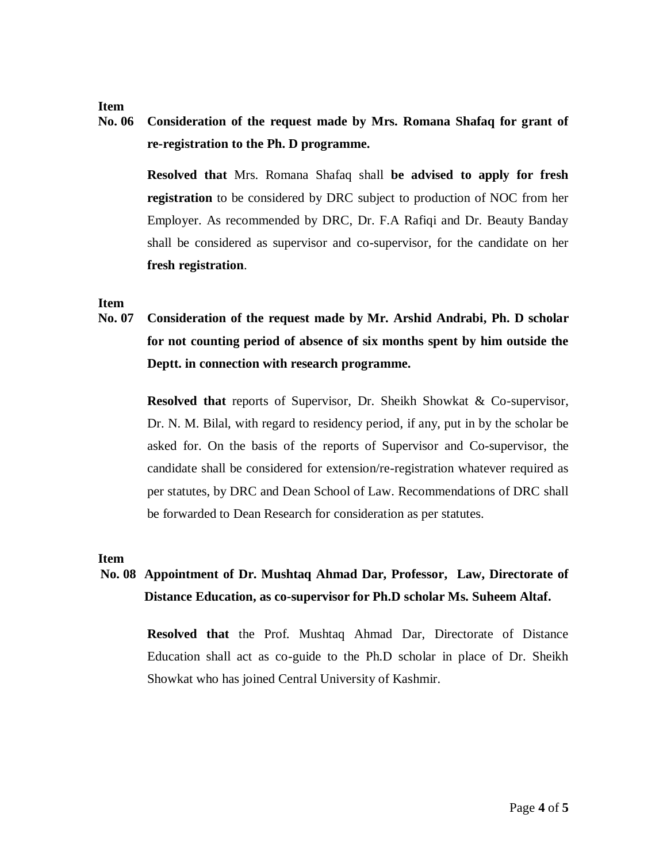### **Item**

**No. 06 Consideration of the request made by Mrs. Romana Shafaq for grant of re-registration to the Ph. D programme.**

> **Resolved that** Mrs. Romana Shafaq shall **be advised to apply for fresh registration** to be considered by DRC subject to production of NOC from her Employer. As recommended by DRC, Dr. F.A Rafiqi and Dr. Beauty Banday shall be considered as supervisor and co-supervisor, for the candidate on her **fresh registration**.

#### **Item**

**No. 07 Consideration of the request made by Mr. Arshid Andrabi, Ph. D scholar for not counting period of absence of six months spent by him outside the Deptt. in connection with research programme.**

> **Resolved that** reports of Supervisor, Dr. Sheikh Showkat & Co-supervisor, Dr. N. M. Bilal, with regard to residency period, if any, put in by the scholar be asked for. On the basis of the reports of Supervisor and Co-supervisor, the candidate shall be considered for extension/re-registration whatever required as per statutes, by DRC and Dean School of Law. Recommendations of DRC shall be forwarded to Dean Research for consideration as per statutes.

#### **Item**

# **No. 08 Appointment of Dr. Mushtaq Ahmad Dar, Professor, Law, Directorate of Distance Education, as co-supervisor for Ph.D scholar Ms. Suheem Altaf.**

**Resolved that** the Prof. Mushtaq Ahmad Dar, Directorate of Distance Education shall act as co-guide to the Ph.D scholar in place of Dr. Sheikh Showkat who has joined Central University of Kashmir.